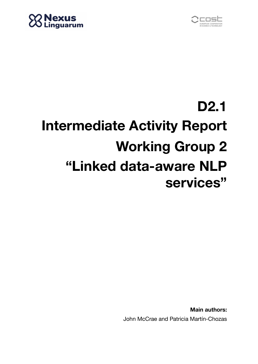



## **D2.1 Intermediate Activity Report Working Group 2 "Linked data-aware NLP services"**

**Main authors:** John McCrae and Patricia Martín-Chozas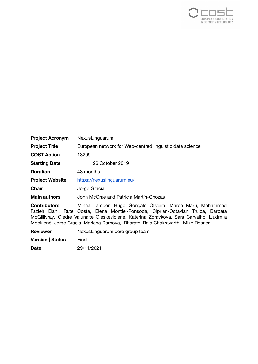

| <b>Project Acronym</b>                      | NexusLinguarum                                                      |  |  |  |
|---------------------------------------------|---------------------------------------------------------------------|--|--|--|
| <b>Project Title</b>                        | European network for Web-centred linguistic data science            |  |  |  |
| <b>COST Action</b>                          | 18209                                                               |  |  |  |
| <b>Starting Date</b>                        | 26 October 2019                                                     |  |  |  |
| <b>Duration</b>                             | 48 months                                                           |  |  |  |
| <b>Project Website</b>                      | https://nexuslinguarum.eu/                                          |  |  |  |
| <b>Chair</b>                                | Jorge Gracia                                                        |  |  |  |
| <b>Main authors</b>                         | John McCrae and Patricia Martín-Chozas                              |  |  |  |
| Arrest and the second company of the second | Material Teneration Union Organization Office the Material Manuel M |  |  |  |

**Contributors** Minna Tamper, Hugo Gonçalo Oliveira, Marco Maru, Mohammad Fazleh Elahi, Rute Costa, Elena Montiel-Ponsoda, Ciprian-Octavian Truică, Barbara McGillivray, Giedre Valunaite Oleskeviciene, Katerina Zdravkova, Sara Carvalho, Liudmila Mockienė, Jorge Gracia, Mariana Damova, Bharathi Raja Chakravarthi, Mike Rosner

**Reviewer** NexusLinguarum core group team

**Version | Status** Final

**Date** 29/11/2021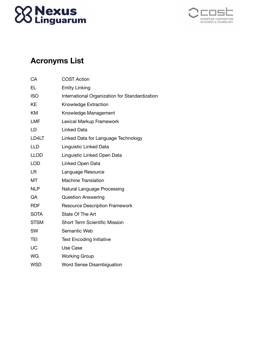# **88 Nexus<br>88 Linguarum**



## **Acronyms List**

| CА          | <b>COST Action</b>                             |
|-------------|------------------------------------------------|
| <b>EL</b>   | <b>Entity Linking</b>                          |
| <b>ISO</b>  | International Organization for Standardization |
| KE          | Knowledge Extraction                           |
| <b>KM</b>   | Knowledge Management                           |
| <b>LMF</b>  | Lexical Markup Framework                       |
| LD          | <b>Linked Data</b>                             |
| LD4LT       | Linked Data for Language Technology            |
| <b>LLD</b>  | Linguistic Linked Data                         |
| <b>LLOD</b> | Linguistic Linked Open Data                    |
| <b>LOD</b>  | Linked Open Data                               |
| LR          | Language Resource                              |
| MT          | <b>Machine Translation</b>                     |
| <b>NLP</b>  | Natural Language Processing                    |
| QA          | <b>Question Answering</b>                      |
| <b>RDF</b>  | <b>Resource Description Framework</b>          |
| <b>SOTA</b> | State Of The Art                               |
| <b>STSM</b> | <b>Short Term Scientific Mission</b>           |
| SW          | Semantic Web                                   |
| <b>TEI</b>  | <b>Text Encoding Initiative</b>                |
| UC          | Use Case                                       |
| WG          | <b>Working Group</b>                           |
| <b>WSD</b>  | <b>Word Sense Disambiguation</b>               |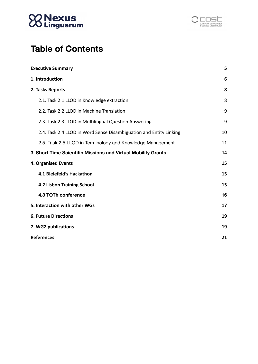



## **Table of Contents**

| <b>Executive Summary</b>                                           |    |  |
|--------------------------------------------------------------------|----|--|
| 1. Introduction                                                    |    |  |
| 2. Tasks Reports                                                   |    |  |
| 2.1. Task 2.1 LLOD in Knowledge extraction                         | 8  |  |
| 2.2. Task 2.2 LLOD in Machine Translation                          | 9  |  |
| 2.3. Task 2.3 LLOD in Multilingual Question Answering              | 9  |  |
| 2.4. Task 2.4 LLOD in Word Sense Disambiguation and Entity Linking | 10 |  |
| 2.5. Task 2.5 LLOD in Terminology and Knowledge Management         | 11 |  |
| 3. Short Time Scientific Missions and Virtual Mobility Grants      |    |  |
| <b>4. Organised Events</b>                                         | 15 |  |
| 4.1 Bielefeld's Hackathon                                          | 15 |  |
| 4.2 Lisbon Training School                                         |    |  |
| 4.3 TOTh conference                                                | 16 |  |
| 5. Interaction with other WGs                                      |    |  |
| <b>6. Future Directions</b>                                        |    |  |
| 7. WG2 publications                                                |    |  |
| <b>References</b>                                                  | 21 |  |
|                                                                    |    |  |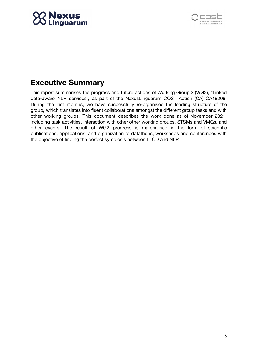



## <span id="page-4-0"></span>**Executive Summary**

This report summarises the progress and future actions of Working Group 2 (WG2), "Linked data-aware NLP services", as part of the NexusLinguarum COST Action (CA) CA18209. During the last months, we have successfully re-organised the leading structure of the group, which translates into fluent collaborations amongst the different group tasks and with other working groups. This document describes the work done as of November 2021, including task activities, interaction with other other working groups, STSMs and VMGs, and other events. The result of WG2 progress is materialised in the form of scientific publications, applications, and organization of datathons, workshops and conferences with the objective of finding the perfect symbiosis between LLOD and NLP.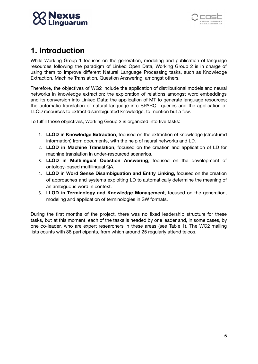



## <span id="page-5-0"></span>**1. Introduction**

While Working Group 1 focuses on the generation, modeling and publication of language resources following the paradigm of Linked Open Data, Working Group 2 is in charge of using them to improve different Natural Language Processing tasks, such as Knowledge Extraction, Machine Translation, Question Answering, amongst others.

Therefore, the objectives of WG2 include the application of distributional models and neural networks in knowledge extraction; the exploration of relations amongst word embeddings and its conversion into Linked Data; the application of MT to generate language resources; the automatic translation of natural language into SPARQL queries and the application of LLOD resources to extract disambiguated knowledge, to mention but a few.

To fulfill those objectives, Working Group 2 is organized into five tasks:

- 1. **LLOD in Knowledge Extraction**, focused on the extraction of knowledge (structured information) from documents, with the help of neural networks and LD.
- 2. **LLOD in Machine Translation**, focused on the creation and application of LD for machine translation in under-resourced scenarios.
- 3. **LLOD in Multilingual Question Answering**, focused on the development of ontology-based multilingual QA.
- 4. **LLOD in Word Sense Disambiguation and Entity Linking,** focused on the creation of approaches and systems exploiting LD to automatically determine the meaning of an ambiguous word in context.
- 5. **LLOD in Terminology and Knowledge Management**, focused on the generation, modeling and application of terminologies in SW formats.

During the first months of the project, there was no fixed leadership structure for these tasks, but at this moment, each of the tasks is headed by one leader and, in some cases, by one co-leader, who are expert researchers in these areas (see Table 1). The WG2 mailing lists counts with 88 participants, from which around 25 regularly attend telcos.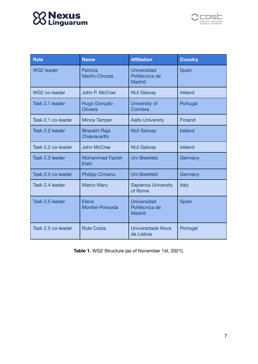## **SS Nexus**<br>23 Linguarum



| <b>Role</b>        | <b>Name</b>                          | <b>Affiliation</b>                                    | <b>Country</b> |
|--------------------|--------------------------------------|-------------------------------------------------------|----------------|
| <b>WG2 leader</b>  | <b>Patricia</b><br>Martín-Chozas     | <b>Universidad</b><br>Politécnica de<br><b>Madrid</b> | Spain          |
| WG2 co-leader      | John P. McCrae                       | <b>NUI Galway</b>                                     | Ireland        |
| Task 2.1 leader    | Hugo Gonçalo<br>Oliveira             | University of<br>Coimbra                              | Portugal       |
| Task 2.1 co-leader | Minna Tamper                         | <b>Aalto University</b>                               | Finland        |
| Task 2.2 leader    | <b>Bharathi Raja</b><br>Chakravarthi | <b>NUI Galway</b>                                     | <b>Ireland</b> |
| Task 2.2 co-leader | <b>John McCrae</b>                   | <b>NUI Galway</b>                                     | Ireland        |
| Task 2.3 leader    | <b>Mohammad Fazleh</b><br>Elahi      | <b>Uni Bielefeld</b>                                  | Germany        |
| Task 2.3 co-leader | <b>Philipp Cimiano</b>               | <b>Uni Bielefeld</b>                                  | Germany        |
| Task 2.4 leader    | <b>Marco Maru</b>                    | <b>Sapienza University</b><br>of Rome                 | <b>Italy</b>   |
| Task 2.5 leader    | Elena<br><b>Montiel-Ponsoda</b>      | <b>Universidad</b><br>Politécnica de<br><b>Madrid</b> | Spain          |
| Task 2.5 co-leader | <b>Rute Costa</b>                    | Universidade Nova<br>de Lisboa                        | Portugal       |

**Table 1.** WG2 Structure (as of November 1st, 2021).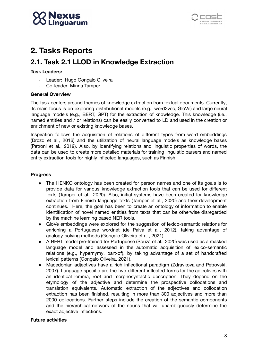



## <span id="page-7-0"></span>**2. Tasks Reports**

## <span id="page-7-1"></span>**2.1. Task 2.1 LLOD in Knowledge Extraction**

#### **Task Leaders:**

- Leader: Hugo Gonçalo Oliveira
- Co-leader: Minna Tamper

#### **General Overview**

The task centers around themes of knowledge extraction from textual documents. Currently, its main focus is on exploring distributional models (e.g., word2vec, GloVe) and large neural language models (e.g., BERT, GPT) for the extraction of knowledge. This knowledge (i.e., named entities and / or relations) can be easily converted to LD and used in the creation or enrichment of new or existing knowledge bases.

Inspiration follows the acquisition of relations of different types from word embeddings (Drozd et al., 2016) and the utilization of neural language models as knowledge bases (Petroni et al., 2019). Also, by identifying relations and linguistic properties of words, the data can be used to create more detailed materials for training linguistic parsers and named entity extraction tools for highly inflected languages, such as Finnish.

#### **Progress**

- The HENKO ontology has been created for person names and one of its goals is to provide data for various knowledge extraction tools that can be used for different texts (Tamper et al., 2020). Also, initial systems have been created for knowledge extraction from Finnish language texts (Tamper et al., 2020) and their development continues. Here, the goal has been to create an ontology of information to enable identification of novel named entities from texts that can be otherwise disregarded by the machine learning based NER tools.
- GloVe embeddings were explored for the suggestion of lexico-semantic relations for enriching a Portuguese wordnet (de Paiva et al., 2012), taking advantage of analogy-solving methods (Gonçalo Oliveira et al., 2021).
- A BERT model pre-trained for Portuguese (Souza et al., 2020) was used as a masked language model and assessed in the automatic acquisition of lexico-semantic relations (e.g., hypernymy, part-of), by taking advantage of a set of handcrafted lexical patterns (Gonçalo Oliveira, 2021).
- Macedonian adjectives have a rich inflectional paradigm (Zdravkova and Petrovski, 2007). Language specific are the two different inflected forms for the adjectives with an identical lemma, root and morphosyntactic description. They depend on the etymology of the adjective and determine the prospective collocations and translation equivalents. Automatic extraction of the adjectives and collocation extraction has been finished, resulting in more than 300 adjectives and more than 2000 collocations. Further steps include the creation of the semantic components and the hierarchical network of the nouns that will unambiguously determine the exact adjective inflections.

#### **Future activities**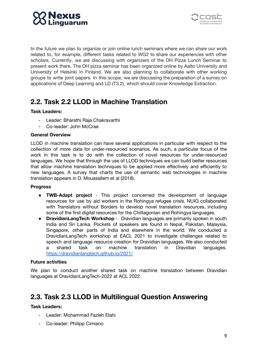



In the future we plan to organize or join online lunch seminars where we can share our work related to, for example, different tasks related to WG2 to share our experiences with other scholars. Currently, we are discussing with organizers of the DH Pizza Lunch Seminar to present work there. The DH pizza seminar has been organized online by Aalto University and University of Helsinki in Finland. We are also planning to collaborate with other working groups to write joint papers. In this scope, we are discussing the preparation of a survey on applications of Deep Learning and LD (T3.2), which should cover Knowledge Extraction.

## <span id="page-8-0"></span>**2.2. Task 2.2 LLOD in Machine Translation**

#### **Task Leaders:**

- Leader: Bharathi Raja Chakravarthi
- Co-leader: John McCrae

#### **General Overview**

LLOD in machine translation can have several applications in particular with respect to the collection of more data for under-resourced scenarios. As such, a particular focus of the work in this task is to do with the collection of novel resources for under-resourced languages. We hope that through the use of LLOD techniques we can build better resources that allow machine translation techniques to be applied more effectively and efficiently to new languages. A survey that charts the use of semantic web technologies in machine translation appears in D. Moussallem et al (2018).

#### **Progress**

- **TWB-Adapt project** This project concerned the development of language resources for use by aid workers in the Rohingya refugee crisis. NUIG collaborated with Translators without Borders to develop novel translation resources, including some of the first digital resources for the Chittagonian and Rohingya languages.
- **DravidianLangTech Workshop** Dravidian languages are primarily spoken in south India and Sri Lanka. Pockets of speakers are found in Nepal, Pakistan, Malaysia, Singapore, other parts of India and elsewhere in the world. We conducted a DravidianLangTech workshop at EACL 2021 to investigate challenges related to speech and language resource creation for Dravidian languages. We also conducted a shared task on machine translation in Dravidian languages. <https://dravidianlangtech.github.io/2021/>

#### **Future activities**

We plan to conduct another shared task on machine translation between Dravidian languages at DravidianLangTech-2022 at ACL 2022.

### <span id="page-8-1"></span>**2.3. Task 2.3 LLOD in Multilingual Question Answering**

#### **Task Leaders:**

- Leader: Mohammad Fazleh Elahi
- Co-leader: Philipp Cimiano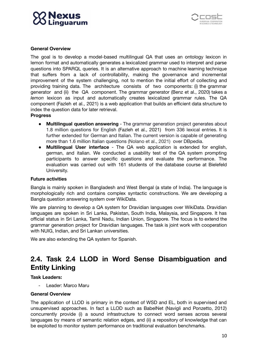



#### **General Overview**

The goal is to develop a model-based multilingual QA that uses an ontology lexicon in lemon format and automatically generates a lexicalized grammar used to interpret and parse questions into SPARQL queries. It is an alternative approach to machine learning technique that suffers from a lack of controllability, making the governance and incremental improvement of the system challenging, not to mention the initial effort of collecting and providing training data. The architecture consists of two components: (i) the grammar generator and (ii) the QA component. The grammar generator (Benz et al., 2020) takes a *lemon* lexicon as input and automatically creates lexicalized grammar rules. The QA component (Fazleh et al., 2021) is a web application that builds an efficient data structure to index the question data for later retrieval.

**Progress**

- **● Multilingual question answering** The grammar generation project generates about 1.8 million questions for English (Fazleh et al., 2021) from 336 lexical entries. It is further extended for German and Italian. The current version is capable of generating more than 1.6 million Italian questions (Nolano et al., 2021) over DBpedia.
- **Multilingual User interface** The QA web application is extended for english, german, and italian. We conducted a usability test of the QA system prompting participants to answer specific questions and evaluate the performance. The evaluation was carried out with 161 students of the database course at Bielefeld University.

#### **Future activities**

Bangla is mainly spoken in Bangladesh and West Bengal (a state of India). The language is morphologically rich and contains complex syntactic constructions. We are developing a Bangla question answering system over WikiData.

We are planning to develop a QA system for Dravidian languages over WikiData. Dravidian languages are spoken in Sri Lanka, Pakistan, South India, Malaysia, and Singapore. It has official status in Sri Lanka, Tamil Nadu, Indian Union, Singapore. The focus is to extend the grammar generation project for Dravidian languages. The task is joint work with cooperation with NUIG, Indian, and Sri Lankan universities.

We are also extending the QA system for Spanish.

## <span id="page-9-0"></span>**2.4. Task 2.4 LLOD in Word Sense Disambiguation and Entity Linking**

#### **Task Leaders:**

Leader: Marco Maru

#### **General Overview**

The application of LLOD is primary in the context of WSD and EL, both in supervised and unsupervised approaches. In fact a LLOD such as BabelNet (Navigli and Ponzetto, 2012) concurrently provide (i) a sound infrastructure to connect word senses across several languages by means of semantic relation edges, and (ii) a repository of knowledge that can be exploited to monitor system performance on traditional evaluation benchmarks.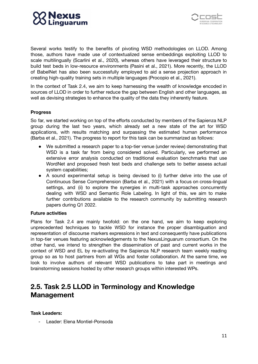



Several works testify to the benefits of pivoting WSD methodologies on LLOD. Among those, authors have made use of contextualized sense embeddings exploiting LLOD to scale multilingually (Scarlini et al., 2020), whereas others have leveraged their structure to build test beds in low-resource environments (Pasini et al., 2021). More recently, the LLOD of BabelNet has also been successfully employed to aid a sense projection approach in creating high-quality training sets in multiple languages (Procopio et al., 2021).

In the context of Task 2.4, we aim to keep harnessing the wealth of knowledge encoded in sources of LLOD in order to further reduce the gap between English and other languages, as well as devising strategies to enhance the quality of the data they inherently feature.

#### **Progress**

So far, we started working on top of the efforts conducted by members of the Sapienza NLP group during the last two years, which already set a new state of the art for WSD applications, with results matching and surpassing the estimated human performance (Barba et al., 2021). The progress to report for this task can be summarized as follows:

- We submitted a research paper to a top-tier venue (under review) demonstrating that WSD is a task far from being considered solved. Particularly, we performed an extensive error analysis conducted on traditional evaluation benchmarks that use WordNet and proposed fresh test beds and challenge sets to better assess actual system capabilities;
- A sound experimental setup is being devised to (i) further delve into the use of Continuous Sense Comprehension (Barba et al., 2021) with a focus on cross-lingual settings, and (ii) to explore the synergies in multi-task approaches concurrently dealing with WSD and Semantic Role Labeling. In light of this, we aim to make further contributions available to the research community by submitting research papers during Q1 2022.

#### **Future activities**

Plans for Task 2.4 are mainly twofold: on the one hand, we aim to keep exploring unprecedented techniques to tackle WSD for instance the proper disambiguation and representation of discourse markers expressions in text and consequently have publications in top-tier venues featuring acknowledgements to the NexusLinguarum consortium. On the other hand, we intend to strengthen the dissemination of past and current works in the context of WSD and EL by re-activating the Sapienza NLP research team weekly reading group so as to host partners from all WGs and foster collaboration. At the same time, we look to involve authors of relevant WSD publications to take part in meetings and brainstorming sessions hosted by other research groups within interested WPs.

### <span id="page-10-0"></span>**2.5. Task 2.5 LLOD in Terminology and Knowledge Management**

**Task Leaders:**

- Leader: Elena Montiel-Ponsoda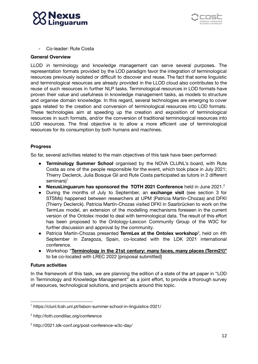



- Co-leader: Rute Costa

#### **General Overview**

LLOD in terminology and knowledge management can serve several purposes. The representation formats provided by the LOD paradigm favor the integration of terminological resources previously isolated or difficult to discover and reuse. The fact that some linguistic and terminological resources are already provided in the LLOD cloud also contributes to the reuse of such resources in further NLP tasks. Terminological resources in LOD formats have proven their value and usefulness in knowledge management tasks, as models to structure and organise domain knowledge. In this regard, several technologies are emerging to cover gaps related to the creation and conversion of terminological resources into LOD formats. These technologies aim at speeding up the creation and exposition of terminological resources in such formats, and/or the conversion of traditional terminological resources into LOD resources. The final objective is to allow a more efficient use of terminological resources for its consumption by both humans and machines.

#### **Progress**

So far, several activities related to the main objectives of this task have been performed:

- **Terminology Summer School** organised by the NOVA CLUNL's board, with Rute Costa as one of the people responsible for the event, which took place in July 2021; Thierry Declerck, Julia Bosque Gil and Rute Costa participated as tutors in 2 different seminars) 1
- **NexusLinguarum has sponsored the TOTH 2021 Conference** held in June 2021. 2
- During the months of July to September, an **exchange visit** (see section 3 for STSMs) happened between researchers at UPM (Patricia Martín-Chozas) and DFKI (Thierry Declerck). Patricia Martín-Chozas visited DFKI in Saarbrücken to work on the TermLex model, an extension of the modelling mechanisms foreseen in the current version of the Ontolex model to deal with terminological data. The result of this effort has been proposed to the Ontology-Lexicon Community Group of the W3C for further discussion and approval by the community.
- Patricia Martín-Chozas presented TermLex at the Ontolex workshop<sup>3</sup>, held on 4th September in Zaragoza, Spain, co-located with the LDK 2021 international conference.
- Workshop "**Terminology in the 21st century: many faces, many places (Term21)"** to be co-located with LREC 2022 [proposal submitted]

#### **Future activities**

In the framework of this task, we are planning the edition of a state of the art paper in "LOD in Terminology and Knowledge Management" as a joint effort, to provide a thorough survey of resources, technological solutions, and projects around this topic.

<sup>1</sup> https://clunl.fcsh.unl.pt/lisbon-summer-school-in-linguistics-2021/

<sup>2</sup> <http://toth.condillac.org/conference>

<sup>3</sup> http://2021.ldk-conf.org/post-conference-w3c-day/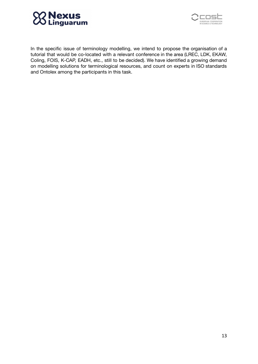



In the specific issue of terminology modelling, we intend to propose the organisation of a tutorial that would be co-located with a relevant conference in the area (LREC, LDK, EKAW, Coling, FOIS, K-CAP, EADH, etc., still to be decided). We have identified a growing demand on modelling solutions for terminological resources, and count on experts in ISO standards and Ontolex among the participants in this task.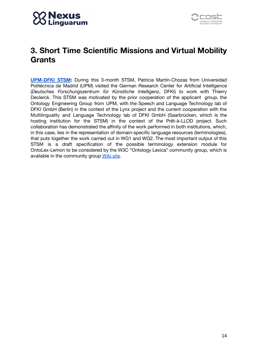



## <span id="page-13-0"></span>**3. Short Time Scientific Missions and Virtual Mobility Grants**

**[UPM-DFKI](https://nexuslinguarum.eu/wp-content/uploads/2021/11/Scientific-report-PatriciaMartinChozas_app6.pdf) STSM:** During this 3-month STSM, Patricia Martín-Chozas from Universidad Politécnica de Madrid (UPM) visited the German Research Center for Artificial Intelligence (*Deutsches Forschungszentrum für Künstliche Intelligenz*, DFKI) to work with Thierry Declerck. This STSM was motivated by the prior cooperation of the applicant group, the Ontology Engineering Group from UPM, with the Speech and Language Technology lab of DFKI GmbH (Berlin) in the context of the Lynx project and the current cooperation with the Multilinguality and Language Technology lab of DFKI GmbH (Saarbrücken, which is the hosting institution for the STSM) in the context of the Prêt-à-LLOD project. Such collaboration has demonstrated the affinity of the work performed in both institutions, which, in this case, lies in the representation of domain-specific language resources (terminologies), that puts together the work carried out in WG1 and WG2. The most important output of this STSM is a draft specification of the possible terminology extension module for OntoLex-Lemon to be considered by the W3C "Ontology Lexica" community group, which is available in the community group [Wiki](https://www.w3.org/community/ontolex/wiki/Terminology.%20This%20document%20contains) site.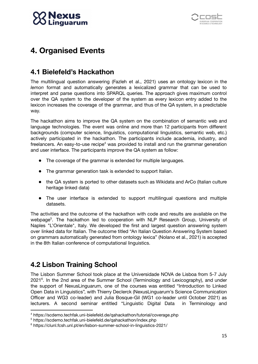



## <span id="page-14-0"></span>**4. Organised Events**

### <span id="page-14-1"></span>**4.1 Bielefeld's Hackathon**

The multilingual question answering (Fazleh et al., 2021) uses an ontology lexicon in the *lemon* format and automatically generates a lexicalized grammar that can be used to interpret and parse questions into SPARQL queries. The approach gives maximum control over the QA system to the developer of the system as every lexicon entry added to the lexicon increases the coverage of the grammar, and thus of the QA system, in a predictable way.

The hackathon aims to improve the QA system on the combination of semantic web and language technologies. The event was online and more than 12 participants from different backgrounds (computer science, linguistics, computational linguistics, semantic web, etc.) actively participated in the hackathon. The participants include academia, industry, and freelancers. An easy-to-use recipe<sup>4</sup> was provided to install and run the grammar generation and user interface. The participants improve the QA system as follow:

- The [coverage](https://scdemo.techfak.uni-bielefeld.de/qahackathon/tutorial/coverage.php#coverage) of the grammar is extended for multiple languages.
- The grammar generation task is extended to [support](https://scdemo.techfak.uni-bielefeld.de/qahackathon/tutorial/coverage.php#new-language) Italian.
- the QA system is ported to other datasets such as [Wikidata](https://scdemo.techfak.uni-bielefeld.de/qahackathon/tutorial/coverage.php) and ArCo (Italian culture [heritage](https://scdemo.techfak.uni-bielefeld.de/qahackathon/tutorial/coverage.php) linked data)
- The user interface is extended to support multilingual questions and multiple datasets.

The activities and the outcome of the hackathon with code and results are available on the webpage<sup>5</sup>. The hackathon led to cooperation with NLP Research Group, University of Naples "L'Orientale", Italy. We developed the first and largest question answering system over linked data for Italian. The outcome titled "An Italian Question Answering System based on grammars automatically generated from ontology lexica" (Nolano et al., 2021) is accepted in the 8th Italian conference of computational linguistics.

## <span id="page-14-2"></span>**4.2 Lisbon Training School**

The Lisbon Summer School took place at the Universidade NOVA de Lisboa from 5-7 July 2021<sup>6</sup>. In the 2nd area of the Summer School (Terminology and Lexicography), and under the support of NexusLinguarum, one of the courses was entitled "Introduction to Linked Open Data in Linguistics", with Thierry Declerck (NexusLinguarum's Science Communication Officer and WG3 co-leader) and Julia Bosque-Gil (WG1 co-leader until October 2021) as lecturers. A second seminar entitled "Linguistic Digital Data in Terminology and

<sup>4</sup> https://scdemo.techfak.uni-bielefeld.de/qahackathon/tutorial/coverage.php

<sup>5</sup> https://scdemo.techfak.uni-bielefeld.de/qahackathon/index.php

<sup>6</sup> https://clunl.fcsh.unl.pt/en/lisbon-summer-school-in-linguistics-2021/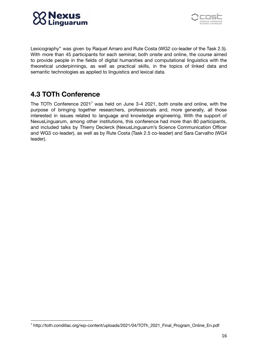



Lexicography" was given by Raquel Amaro and Rute Costa (WG2 co-leader of the Task 2.5). With more than 45 participants for each seminar, both onsite and online, the course aimed to provide people in the fields of digital humanities and computational linguistics with the theoretical underpinnings, as well as practical skills, in the topics of linked data and semantic technologies as applied to linguistics and lexical data.

## <span id="page-15-0"></span>**4.3 TOTh Conference**

The TOTh Conference 2021<sup>7</sup> was held on June 3-4 2021, both onsite and online, with the purpose of bringing together researchers, professionals and, more generally, all those interested in issues related to language and knowledge engineering. With the support of NexusLinguarum, among other institutions, this conference had more than 80 participants, and included talks by Thierry Declerck (NexusLinguarum's Science Communication Officer and WG3 co-leader), as well as by Rute Costa (Task 2.5 co-leader) and Sara Carvalho (WG4 leader).

<sup>7</sup> http://toth.condillac.org/wp-content/uploads/2021/04/TOTh\_2021\_Final\_Program\_Online\_En.pdf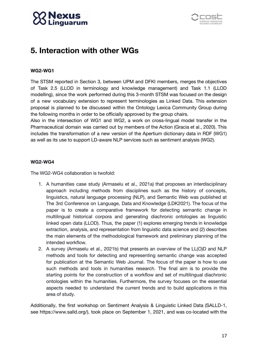## Nexu



## <span id="page-16-0"></span>**5. Interaction with other WGs**

#### **WG2-WG1**

The STSM reported in Section 3, between UPM and DFKI members, merges the objectives of Task 2.5 (LLOD in terminology and knowledge management) and Task 1.1 (LLOD modelling), since the work performed during this 3-month STSM was focused on the design of a new vocabulary extension to represent terminologies as Linked Data. This extension proposal is planned to be discussed within the Ontology Lexica Community Group during the following months in order to be officially approved by the group chairs.

Also in the intersection of WG1 and WG2, a work on cross-lingual model transfer in the Pharmaceutical domain was carried out by members of the Action (Gracia et al., 2020). This includes the transformation of a new version of the Apertium dictionary data in RDF (WG1) as well as its use to support LD-aware NLP services such as sentiment analysis (WG2).

#### **WG2-WG4**

The WG2-WG4 collaboration is twofold:

- 1. A humanities case study (Armaselu et al., 2021a) that proposes an interdisciplinary approach including methods from disciplines such as the history of concepts, linguistics, natural language processing (NLP), and Semantic Web was published at The 3rd Conference on Language, Data and Knowledge (LDK2021). The focus of the paper is to create a comparative framework for detecting semantic change in multilingual historical corpora and generating diachronic ontologies as linguistic linked open data (LLOD). Thus, the paper (1) explores emerging trends in knowledge extraction, analysis, and representation from linguistic data science and (2) describes the main elements of the methodological framework and preliminary planning of the intended workflow.
- 2. A survey (Armaselu et al., 2021b) that presents an overview of the LL(O)D and NLP methods and tools for detecting and representing semantic change was accepted for publication at the Semantic Web Journal. The focus of the paper is how to use such methods and tools in humanities research. The final aim is to provide the starting points for the construction of a workflow and set of multilingual diachronic ontologies within the humanities. Furthermore, the survey focuses on the essential aspects needed to understand the current trends and to build applications in this area of study.

Additionally, the first workshop on Sentiment Analysis & Linguistic Linked Data (SALLD-1, see https://www.salld.org/), took place on September 1, 2021, and was co-located with the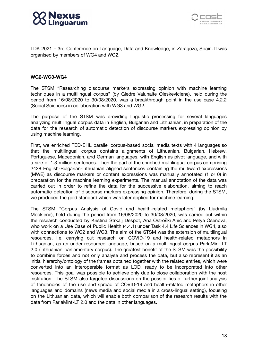



LDK 2021 – 3rd Conference on Language, Data and Knowledge, in Zaragoza, Spain. It was organised by members of WG4 and WG2.

#### **WG2-WG3-WG4**

The STSM "Researching discourse markers expressing opinion with machine learning techniques in a multilingual corpus" (by Giedre Valunaite Oleskeviciene), held during the period from 16/08/2020 to 30/08/2020, was a breakthrough point in the use case 4.2.2 (Social Sciences) in collaboration with WG3 and WG2.

The purpose of the STSM was providing linguistic processing for several languages analyzing multilingual corpus data in English, Bulgarian and Lithuanian, in preparation of the data for the research of automatic detection of discourse markers expressing opinion by using machine learning.

First, we enriched TED-EHL parallel corpus-based social media texts with 4 languages so that the multilingual corpus contains alignments of Lithuanian, Bulgarian, Hebrew, Portuguese, Macedonian, and German languages, with English as pivot language, and with a size of 1.3 million sentences. Then the part of the enriched multilingual corpus comprising 2428 English-Bulgarian-Lithuanian aligned sentences containing the multiword expressions (MWE) as discourse markers or content expressions was manually annotated (1 or 0) in preparation for the machine learning experiments. The manual annotation of the data was carried out in order to refine the data for the successive elaboration, aiming to reach automatic detection of discourse markers expressing opinion. Therefore, during the STSM, we produced the gold standard which was later applied for machine learning.

The STSM "Corpus Analysis of Covid and health-related metaphors" (by Liudmila Mockienė), held during the period from 16/08/2020 to 30/08/2020, was carried out within the research conducted by Kristina Štrkalj Despot, Ana Ostroški Anić and Petya Osenova, who work on a Use Case of Public Health (4.4.1) under Task 4.4 Life Sciences in WG4, also with connections to WG2 and WG3. The aim of the STSM was the extension of multilingual resources, i.e. carrying out research on COVID-19 and health-related metaphors in Lithuanian, as an under-resourced language, based on a multilingual corpus ParlaMint-LT 2.0 (Lithuanian parliamentary corpus). The greatest benefit of the STSM was the possibility to combine forces and not only analyse and process the data, but also represent it as an initial hierarchy/ontology of the frames obtained together with the related entries, which were converted into an interoperable format as LOD, ready to be incorporated into other resources. This goal was possible to achieve only due to close collaboration with the host institution. The STSM also targeted discussions on the possibilities of further joint analysis of tendencies of the use and spread of COVID-19 and health-related metaphors in other languages and domains (news media and social media in a cross-lingual setting), focusing on the Lithuanian data, which will enable both comparison of the research results with the data from ParlaMint-LT 2.0 and the data in other languages.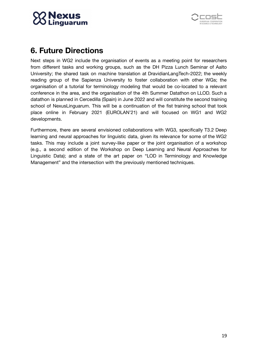



## <span id="page-18-0"></span>**6. Future Directions**

Next steps in WG2 include the organisation of events as a meeting point for researchers from different tasks and working groups, such as the DH Pizza Lunch Seminar of Aalto University; the shared task on machine translation at DravidianLangTech-2022; the weekly reading group of the Sapienza University to foster collaboration with other WGs; the organisation of a tutorial for terminology modeling that would be co-located to a relevant conference in the area, and the organisation of the 4th Summer Datathon on LLOD. Such a datathon is planned in Cercedilla (Spain) in June 2022 and will constitute the second training school of NexusLinguarum. This will be a continuation of the fist training school that took place online in February 2021 (EUROLAN'21) and will focused on WG1 and WG2 developments.

<span id="page-18-1"></span>Furthermore, there are several envisioned collaborations with WG3, specifically T3.2 Deep learning and neural approaches for linguistic data, given its relevance for some of the WG2 tasks. This may include a joint survey-like paper or the joint organisation of a workshop (e.g., a second edition of the Workshop on Deep Learning and Neural Approaches for Linguistic Data); and a state of the art paper on "LOD in Terminology and Knowledge Management" and the intersection with the previously mentioned techniques.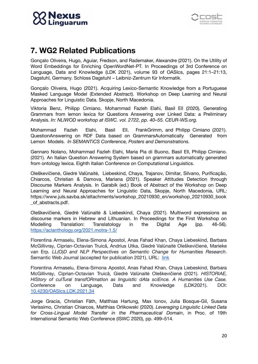



## **7. WG2 Related Publications**

Gonçalo Oliveira, Hugo, Aguiar, Fredson, and Rademaker, Alexandre (2021). On the Utility of Word Embeddings for Enriching OpenWordNet-PT. In Proceedings of 3rd Conference on Language, Data and Knowledge (LDK 2021), volume 93 of OASIcs, pages 21:1–21:13, Dagstuhl, Germany. Schloss Dagstuhl – Leibniz-Zentrum für Informatik.

Gonçalo Oliveira, Hugo (2021). Acquiring Lexico-Semantic Knowledge from a Portuguese Masked Language Model (Extended Abstract). Workshop on Deep Learning and Neural Approaches for Linguistic Data. Skopje, North Macedonia.

Viktoria Benz, Philipp Cimiano, Mohammad Fazleh Elahi, Basil Ell (2020), Generating Grammars from lemon lexica for Questions Answering over Linked Data: a Preliminary Analysis. *In: NLIWOD workshop at ISWC. vol. 2722, pp. 40–55. CEUR-WS.org.*

Mohammad Fazleh Elahi, Basil Ell, FrankGrimm, and Philipp Cimiano (2021). QuestionAnswering on RDF Data based on GrammarsAutomatically Generated from Lemon Models. *In SEMANTiCS Conference, Posters and Demonstrations.*

Gennaro Nolano, Mohammad Fazleh Elahi, Maria Pia di Buono, Basil Ell, Philipp Cimiano. (2021). An Italian Question Answering System based on grammars automatically generated from ontology lexica. Eighth Italian Conference on Computational Linguistics.

Oleškevičienė, Giedrė Valūnaitė, Liebeskind, Chaya, Trajanov, Dimitar, Silvano, Purificação, Chiarcos, Christian & Damova, Mariana (2021). Speaker Attitudes Detection through Discourse Markers Analysis. In Garabík (ed.) Book of Abstract of the Workshop on Deep Learning and Neural Approaches for Linguistic Data, Skopje, North Macedonia, URL: [https://www.juls.savba.sk/attachments/workshop\\_20210930\\_en/workshop\\_20210930\\_book](https://www.juls.savba.sk/attachments/workshop_20210930_en/workshop_20210930_book_of_abstracts.pdf) [\\_of\\_abstracts.pdf.](https://www.juls.savba.sk/attachments/workshop_20210930_en/workshop_20210930_book_of_abstracts.pdf)

Oleškevičienė, Giedrė Valūnaitė & Liebeskind, Chaya (2021). Multiword expressions as discourse markers in Hebrew and Lithuanian. In Proceedings for the First Workshop on Modelling Translation: Translatology in the Digital Age (pp. 46-56). <https://aclanthology.org/2021.motra-1.5/>

Florentina Armaselu, Elena-Simona Apostol, Anas Fahad Khan, Chaya Liebeskind, Barbara McGillivray, Ciprian-Octavian Truică, Andrius Utka, Giedrė Valūnaitė Oleškevičienė, Marieke van Erp. *LL(O)D and NLP Perspectives on Semantic Change for Humanities Research*. Semantic Web Journal (accepted for publication 2021). URL: [link](http://www.semantic-web-journal.net/content/llod-and-nlp-perspectives-semantic-change-humanities-research-0)

Florentina Armaselu, Elena-Simona Apostol, Anas Fahad Khan, Chaya Liebeskind, Barbara McGillivray, Ciprian-Octavian Truică, Giedrė Valūnaitė Oleškevičienė (2021). *HISTORIAE, HIStory of culTural transfORmatIon as linguistIc dAta sciEnce. A Humanities Use Case.* Conference on Language, Data and Knowledge (LDK2021). DOI: [10.4230/OASIcs.LDK.2021.34](https://doi.org/10.4230/OASIcs.LDK.2021.34)

Jorge Gracia, Christian Fäth, Matthias Hartung, Max Ionov, Julia Bosque-Gil, Susana Veríssimo, Christian Chiarcos, Matthias Orlikowski (2020). *Leveraging Linguistic Linked Data for Cross-Lingual Model Transfer in the Pharmaceutical Domain*, in Proc. of 19th International Semantic Web Conference (ISWC 2020), pp. 499–514.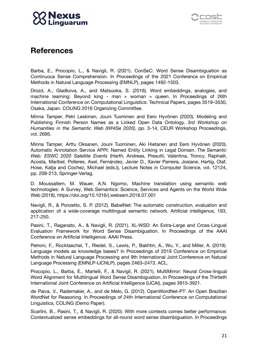



## <span id="page-20-0"></span>**References**

Barba, E., Procopio, L., & Navigli, R. (2021). ConSeC: Word Sense Disambiguation as Continuous Sense Comprehension. In Proceedings of the 2021 Conference on Empirical Methods in Natural Language Processing (EMNLP), pages 1492-1503.

Drozd, A., Gladkova, A., and Matsuoka, S. (2016). Word embeddings, analogies, and machine learning: Beyond king - man + woman = queen. In Proceedings of 26th International Conference on Computational Linguistics: Technical Papers, pages 3519–3530, Osaka, Japan. COLING 2016 Organizing Committee.

Minna Tamper, Petri Leskinen, Jouni Tuominen and Eero Hyvönen (2020). [M](https://seco.cs.aalto.fi/publications/2020/tamper-et-al-names-2020.pdf)odeling and Publishing Finnish Person Names as a Linked Open Data Ontology. *3rd Workshop on Humanities in the Semantic Web (WHiSe 2020)*, pp. 3-14, CEUR Workshop Proceedings, vol. 2695.

Minna Tamper, Arttu Oksanen, Jouni Tuominen, Aki Hietanen and Eero Hyvönen (2020). Automatic Annotation Service APPI: Named Entity Linking in Legal Domain. *The Semantic Web: ESWC 2020 Satellite Events* (Harth, Andreas, Presutti, Valentina, Troncy, Raphaël, Acosta, Maribel, Polleres, Axel, Fernández, Javier D., Xavier Parreira, Josiane, Hartig, Olaf, Hose, Katja and Cochez, Michael (eds.)), Lecture Notes in Computer Science, vol. 12124, pp. 208-213, Springer-Verlag.

D. Moussallem, M. Wauer, A.N. Ngomo, Machine translation using semantic web technologies: A Survey, Web Semantics: Science, Services and Agents on the World Wide Web (2018), https://doi.org/10.1016/j.websem.2018.07.001

Navigli, R., & Ponzetto, S. P. (2012). BabelNet: The automatic construction, evaluation and application of a wide-coverage multilingual semantic network. Artificial intelligence, 193, 217-250.

Pasini, T., Raganato, A., & Navigli, R. (2021). XL-WSD: An Extra-Large and Cross-Lingual Evaluation Framework for Word Sense Disambiguation. In Proceedings of the AAAI Conference on Artificial Intelligence. AAAI Press.

Petroni, F., Rocktaschel, T., Riedel, S., Lewis, P., Bakhtin, A., Wu, Y., and Miller, A. (2019). Language models as knowledge bases? In Proceedings of 2019 Conference on Empirical Methods in Natural Language Processing and 9th International Joint Conference on Natural Language Processing (EMNLP-IJCNLP), pages 2463–2473. ACL.

Procopio, L., Barba, E., Martelli, F., & Navigli, R. (2021). MultiMirror: Neural Cross-lingual Word Alignment for Multilingual Word Sense Disambiguation. In Proceedings of the Thirtieth International Joint Conference on Artificial Intelligence (IJCAI), pages 3915-3921.

de Paiva, V., Rademaker, A., and de Melo, G. (2012). OpenWordNet-PT: An Open Brazilian WordNet for Reasoning. In Proceedings of 24th International Conference on Computational Linguistics, COLING (Demo Paper).

Scarlini, B., Pasini, T., & Navigli, R. (2020). With more contexts comes better performance: Contextualized sense embeddings for all-round word sense disambiguation. In Proceedings